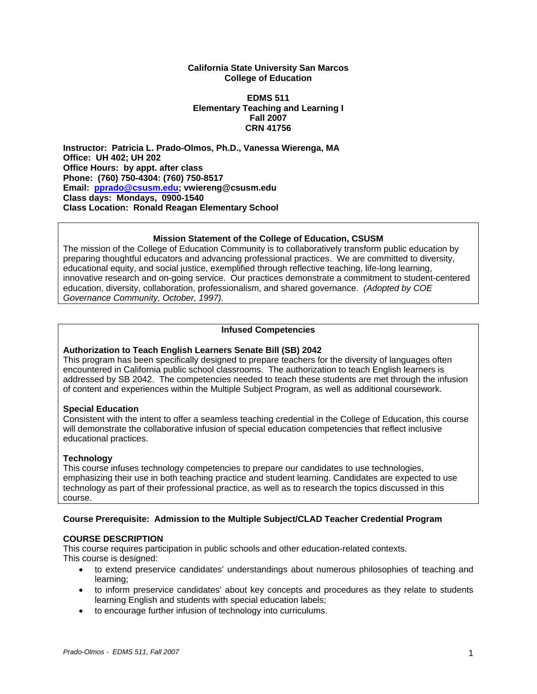#### **California State University San Marcos College of Education**

#### **EDMS 511 Elementary Teaching and Learning I Fall 2007 CRN 41756**

**Instructor: Patricia L. Prado-Olmos, Ph.D., Vanessa Wierenga, MA Office: UH 402; UH 202 Office Hours: by appt. after class Phone: (760) 750-4304: (760) 750-8517 Email: pprado@csusm.edu; vwiereng@csusm.edu Class days: Mondays, 0900-1540 Class Location: Ronald Reagan Elementary School** 

## **Mission Statement of the College of Education, CSUSM**

The mission of the College of Education Community is to collaboratively transform public education by preparing thoughtful educators and advancing professional practices. We are committed to diversity, educational equity, and social justice, exemplified through reflective teaching, life-long learning, innovative research and on-going service. Our practices demonstrate a commitment to student-centered education, diversity, collaboration, professionalism, and shared governance. *(Adopted by COE Governance Community, October, 1997).* 

## **Infused Competencies**

## **Authorization to Teach English Learners Senate Bill (SB) 2042**

This program has been specifically designed to prepare teachers for the diversity of languages often encountered in California public school classrooms. The authorization to teach English learners is addressed by SB 2042. The competencies needed to teach these students are met through the infusion of content and experiences within the Multiple Subject Program, as well as additional coursework.

#### **Special Education**

Consistent with the intent to offer a seamless teaching credential in the College of Education, this course will demonstrate the collaborative infusion of special education competencies that reflect inclusive educational practices.

#### **Technology**

This course infuses technology competencies to prepare our candidates to use technologies, emphasizing their use in both teaching practice and student learning. Candidates are expected to use technology as part of their professional practice, as well as to research the topics discussed in this course.

#### **Course Prerequisite: Admission to the Multiple Subject/CLAD Teacher Credential Program**

#### **COURSE DESCRIPTION**

This course requires participation in public schools and other education-related contexts. This course is designed:

- to extend preservice candidates' understandings about numerous philosophies of teaching and learning;
- to inform preservice candidates' about key concepts and procedures as they relate to students learning English and students with special education labels;
- to encourage further infusion of technology into curriculums.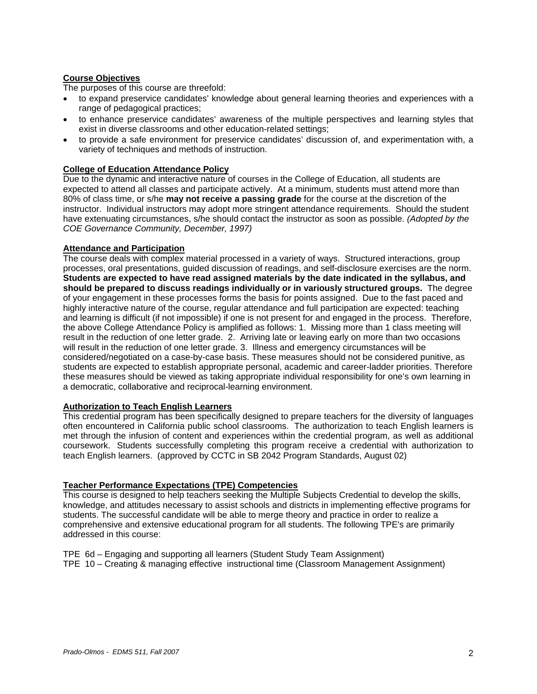## **Course Objectives**

The purposes of this course are threefold:

- to expand preservice candidates' knowledge about general learning theories and experiences with a range of pedagogical practices;
- to enhance preservice candidates' awareness of the multiple perspectives and learning styles that exist in diverse classrooms and other education-related settings;
- to provide a safe environment for preservice candidates' discussion of, and experimentation with, a variety of techniques and methods of instruction.

#### **College of Education Attendance Policy**

Due to the dynamic and interactive nature of courses in the College of Education, all students are expected to attend all classes and participate actively. At a minimum, students must attend more than 80% of class time, or s/he **may not receive a passing grade** for the course at the discretion of the instructor. Individual instructors may adopt more stringent attendance requirements. Should the student have extenuating circumstances, s/he should contact the instructor as soon as possible. *(Adopted by the COE Governance Community, December, 1997)*

#### **Attendance and Participation**

The course deals with complex material processed in a variety of ways. Structured interactions, group processes, oral presentations, guided discussion of readings, and self-disclosure exercises are the norm. **Students are expected to have read assigned materials by the date indicated in the syllabus, and should be prepared to discuss readings individually or in variously structured groups.** The degree of your engagement in these processes forms the basis for points assigned. Due to the fast paced and highly interactive nature of the course, regular attendance and full participation are expected: teaching and learning is difficult (if not impossible) if one is not present for and engaged in the process. Therefore, the above College Attendance Policy is amplified as follows: 1. Missing more than 1 class meeting will result in the reduction of one letter grade. 2. Arriving late or leaving early on more than two occasions will result in the reduction of one letter grade. 3. Illness and emergency circumstances will be considered/negotiated on a case-by-case basis. These measures should not be considered punitive, as students are expected to establish appropriate personal, academic and career-ladder priorities. Therefore these measures should be viewed as taking appropriate individual responsibility for one's own learning in a democratic, collaborative and reciprocal-learning environment.

#### **Authorization to Teach English Learners**

This credential program has been specifically designed to prepare teachers for the diversity of languages often encountered in California public school classrooms. The authorization to teach English learners is met through the infusion of content and experiences within the credential program, as well as additional coursework. Students successfully completing this program receive a credential with authorization to teach English learners. (approved by CCTC in SB 2042 Program Standards, August 02)

#### **Teacher Performance Expectations (TPE) Competencies**

This course is designed to help teachers seeking the Multiple Subjects Credential to develop the skills, knowledge, and attitudes necessary to assist schools and districts in implementing effective programs for students. The successful candidate will be able to merge theory and practice in order to realize a comprehensive and extensive educational program for all students. The following TPE's are primarily addressed in this course:

- TPE 6d Engaging and supporting all learners (Student Study Team Assignment)
- TPE 10 Creating & managing effective instructional time (Classroom Management Assignment)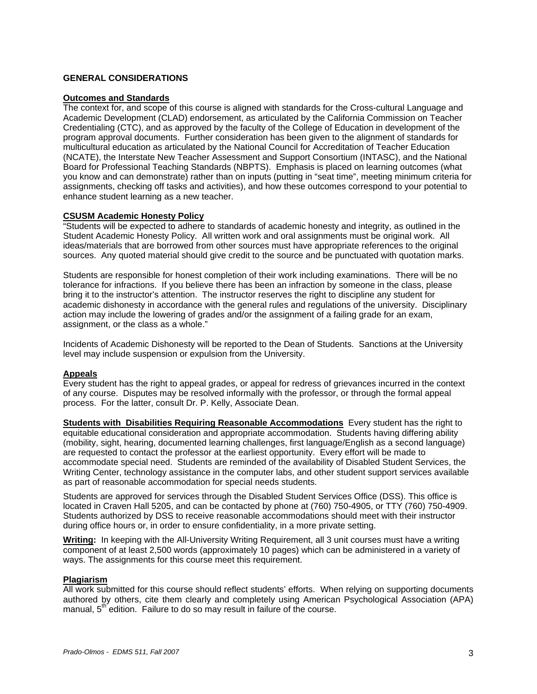## **GENERAL CONSIDERATIONS**

#### **Outcomes and Standards**

The context for, and scope of this course is aligned with standards for the Cross-cultural Language and Academic Development (CLAD) endorsement, as articulated by the California Commission on Teacher Credentialing (CTC), and as approved by the faculty of the College of Education in development of the program approval documents. Further consideration has been given to the alignment of standards for multicultural education as articulated by the National Council for Accreditation of Teacher Education (NCATE), the Interstate New Teacher Assessment and Support Consortium (INTASC), and the National Board for Professional Teaching Standards (NBPTS). Emphasis is placed on learning outcomes (what you know and can demonstrate) rather than on inputs (putting in "seat time", meeting minimum criteria for assignments, checking off tasks and activities), and how these outcomes correspond to your potential to enhance student learning as a new teacher.

## **CSUSM Academic Honesty Policy**

"Students will be expected to adhere to standards of academic honesty and integrity, as outlined in the Student Academic Honesty Policy. All written work and oral assignments must be original work. All ideas/materials that are borrowed from other sources must have appropriate references to the original sources. Any quoted material should give credit to the source and be punctuated with quotation marks.

Students are responsible for honest completion of their work including examinations. There will be no tolerance for infractions. If you believe there has been an infraction by someone in the class, please bring it to the instructor's attention. The instructor reserves the right to discipline any student for academic dishonesty in accordance with the general rules and regulations of the university. Disciplinary action may include the lowering of grades and/or the assignment of a failing grade for an exam, assignment, or the class as a whole."

Incidents of Academic Dishonesty will be reported to the Dean of Students. Sanctions at the University level may include suspension or expulsion from the University.

#### **Appeals**

Every student has the right to appeal grades, or appeal for redress of grievances incurred in the context of any course. Disputes may be resolved informally with the professor, or through the formal appeal process. For the latter, consult Dr. P. Kelly, Associate Dean.

**Students with Disabilities Requiring Reasonable Accommodations** Every student has the right to equitable educational consideration and appropriate accommodation. Students having differing ability (mobility, sight, hearing, documented learning challenges, first language/English as a second language) are requested to contact the professor at the earliest opportunity. Every effort will be made to accommodate special need. Students are reminded of the availability of Disabled Student Services, the Writing Center, technology assistance in the computer labs, and other student support services available as part of reasonable accommodation for special needs students.

Students are approved for services through the Disabled Student Services Office (DSS). This office is located in Craven Hall 5205, and can be contacted by phone at (760) 750-4905, or TTY (760) 750-4909. Students authorized by DSS to receive reasonable accommodations should meet with their instructor during office hours or, in order to ensure confidentiality, in a more private setting.

**Writing:** In keeping with the All-University Writing Requirement, all 3 unit courses must have a writing component of at least 2,500 words (approximately 10 pages) which can be administered in a variety of ways. The assignments for this course meet this requirement.

#### **Plagiarism**

All work submitted for this course should reflect students' efforts. When relying on supporting documents authored by others, cite them clearly and completely using American Psychological Association (APA) manual,  $5<sup>th</sup>$  edition. Failure to do so may result in failure of the course.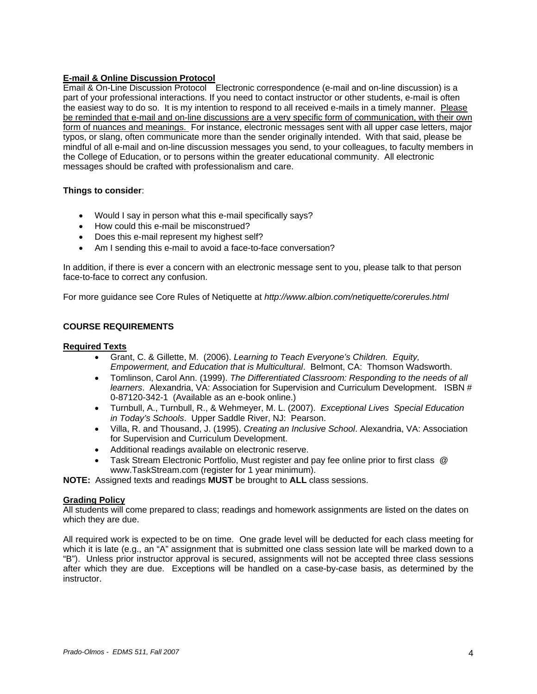## **E-mail & Online Discussion Protocol**

Email & On-Line Discussion Protocol Electronic correspondence (e-mail and on-line discussion) is a part of your professional interactions. If you need to contact instructor or other students, e-mail is often the easiest way to do so. It is my intention to respond to all received e-mails in a timely manner. Please be reminded that e-mail and on-line discussions are a very specific form of communication, with their own form of nuances and meanings. For instance, electronic messages sent with all upper case letters, major typos, or slang, often communicate more than the sender originally intended. With that said, please be mindful of all e-mail and on-line discussion messages you send, to your colleagues, to faculty members in the College of Education, or to persons within the greater educational community. All electronic messages should be crafted with professionalism and care.

## **Things to consider**:

- Would I say in person what this e-mail specifically says?
- How could this e-mail be misconstrued?
- Does this e-mail represent my highest self?
- Am I sending this e-mail to avoid a face-to-face conversation?

In addition, if there is ever a concern with an electronic message sent to you, please talk to that person face-to-face to correct any confusion.

For more guidance see Core Rules of Netiquette at *http://www.albion.com/netiquette/corerules.html*

## **COURSE REQUIREMENTS**

#### **Required Texts**

- Grant, C. & Gillette, M. (2006). *Learning to Teach Everyone's Children. Equity, Empowerment, and Education that is Multicultural*. Belmont, CA: Thomson Wadsworth.
- Tomlinson, Carol Ann. (1999). *The Differentiated Classroom: Responding to the needs of all learners*. Alexandria, VA: Association for Supervision and Curriculum Development. ISBN # 0-87120-342-1 (Available as an e-book online.)
- Turnbull, A., Turnbull, R., & Wehmeyer, M. L. (2007). *Exceptional Lives Special Education in Today's Schools*. Upper Saddle River, NJ: Pearson.
- Villa, R. and Thousand, J. (1995). *Creating an Inclusive School*. Alexandria, VA: Association for Supervision and Curriculum Development.
- Additional readings available on electronic reserve.
- Task Stream Electronic Portfolio, Must register and pay fee online prior to first class @ www.TaskStream.com (register for 1 year minimum).

**NOTE:** Assigned texts and readings **MUST** be brought to **ALL** class sessions.

## **Grading Policy**

All students will come prepared to class; readings and homework assignments are listed on the dates on which they are due.

All required work is expected to be on time. One grade level will be deducted for each class meeting for which it is late (e.g., an "A" assignment that is submitted one class session late will be marked down to a "B"). Unless prior instructor approval is secured, assignments will not be accepted three class sessions after which they are due. Exceptions will be handled on a case-by-case basis, as determined by the instructor.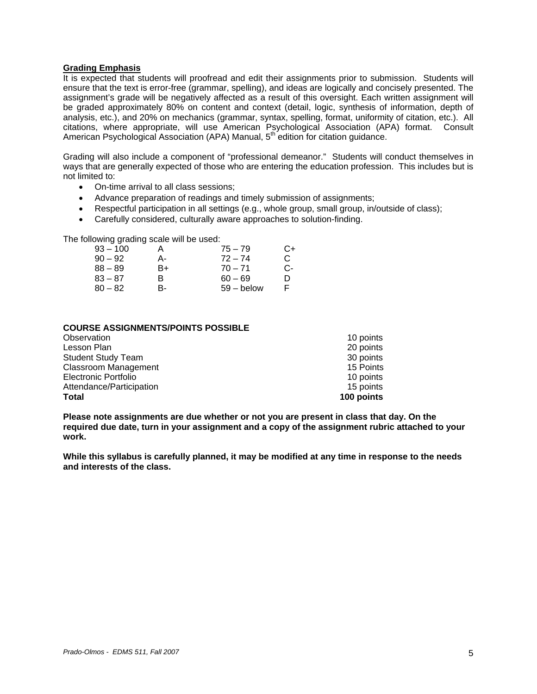#### **Grading Emphasis**

It is expected that students will proofread and edit their assignments prior to submission. Students will ensure that the text is error-free (grammar, spelling), and ideas are logically and concisely presented. The assignment's grade will be negatively affected as a result of this oversight. Each written assignment will be graded approximately 80% on content and context (detail, logic, synthesis of information, depth of analysis, etc.), and 20% on mechanics (grammar, syntax, spelling, format, uniformity of citation, etc.). All citations, where appropriate, will use American Psychological Association (APA) format. Consult American Psychological Association (APA) Manual, 5<sup>th</sup> edition for citation guidance.

Grading will also include a component of "professional demeanor." Students will conduct themselves in ways that are generally expected of those who are entering the education profession. This includes but is not limited to:

- On-time arrival to all class sessions;
- Advance preparation of readings and timely submission of assignments;
- Respectful participation in all settings (e.g., whole group, small group, in/outside of class);
- Carefully considered, culturally aware approaches to solution-finding.

The following grading scale will be used:

| $93 - 100$ |    | $75 - 79$    | C+ |
|------------|----|--------------|----|
| $90 - 92$  | А- | $72 - 74$    | C. |
| $88 - 89$  | B+ | $70 - 71$    | C- |
| $83 - 87$  | R  | $60 - 69$    | n  |
| $80 - 82$  | в- | $59 -$ below |    |

#### **COURSE ASSIGNMENTS/POINTS POSSIBLE**

| Observation               | 10 points  |
|---------------------------|------------|
| Lesson Plan               | 20 points  |
| <b>Student Study Team</b> | 30 points  |
| Classroom Management      | 15 Points  |
| Electronic Portfolio      | 10 points  |
| Attendance/Participation  | 15 points  |
| Total                     | 100 points |

**Please note assignments are due whether or not you are present in class that day. On the required due date, turn in your assignment and a copy of the assignment rubric attached to your work.** 

**While this syllabus is carefully planned, it may be modified at any time in response to the needs and interests of the class.**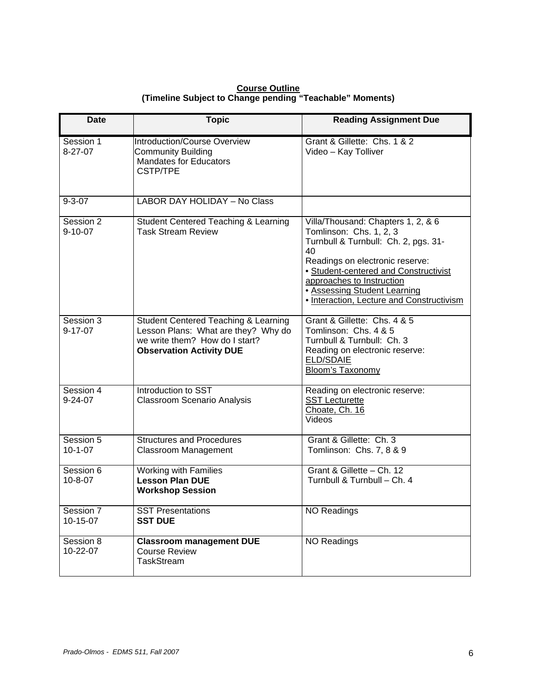**Course Outline (Timeline Subject to Change pending "Teachable" Moments)** 

| Date                       | <b>Topic</b>                                                                                                                                     | <b>Reading Assignment Due</b>                                                                                                                                                                                                                                                                            |
|----------------------------|--------------------------------------------------------------------------------------------------------------------------------------------------|----------------------------------------------------------------------------------------------------------------------------------------------------------------------------------------------------------------------------------------------------------------------------------------------------------|
| Session 1<br>$8-27-07$     | Introduction/Course Overview<br><b>Community Building</b><br><b>Mandates for Educators</b><br><b>CSTP/TPE</b>                                    | Grant & Gillette: Chs. 1 & 2<br>Video - Kay Tolliver                                                                                                                                                                                                                                                     |
| $9 - 3 - 07$               | <b>LABOR DAY HOLIDAY - No Class</b>                                                                                                              |                                                                                                                                                                                                                                                                                                          |
| Session 2<br>$9 - 10 - 07$ | <b>Student Centered Teaching &amp; Learning</b><br><b>Task Stream Review</b>                                                                     | Villa/Thousand: Chapters 1, 2, & 6<br>Tomlinson: Chs. 1, 2, 3<br>Turnbull & Turnbull: Ch. 2, pgs. 31-<br>40<br>Readings on electronic reserve:<br>• Student-centered and Constructivist<br>approaches to Instruction<br><b>• Assessing Student Learning</b><br>• Interaction, Lecture and Constructivism |
| Session 3<br>$9 - 17 - 07$ | Student Centered Teaching & Learning<br>Lesson Plans: What are they? Why do<br>we write them? How do I start?<br><b>Observation Activity DUE</b> | Grant & Gillette: Chs. 4 & 5<br>Tomlinson: Chs. 4 & 5<br>Turnbull & Turnbull: Ch. 3<br>Reading on electronic reserve:<br><b>ELD/SDAIE</b><br><b>Bloom's Taxonomy</b>                                                                                                                                     |
| Session 4<br>$9 - 24 - 07$ | Introduction to SST<br><b>Classroom Scenario Analysis</b>                                                                                        | Reading on electronic reserve:<br><b>SST Lecturette</b><br>Choate, Ch. 16<br>Videos                                                                                                                                                                                                                      |
| Session 5<br>$10-1-07$     | <b>Structures and Procedures</b><br>Classroom Management                                                                                         | Grant & Gillette: Ch. 3<br>Tomlinson: Chs. 7, 8 & 9                                                                                                                                                                                                                                                      |
| Session 6<br>$10 - 8 - 07$ | Working with Families<br><b>Lesson Plan DUE</b><br><b>Workshop Session</b>                                                                       | Grant & Gillette - Ch. 12<br>Turnbull & Turnbull - Ch. 4                                                                                                                                                                                                                                                 |
| Session 7<br>10-15-07      | <b>SST Presentations</b><br><b>SST DUE</b>                                                                                                       | <b>NO Readings</b>                                                                                                                                                                                                                                                                                       |
| Session 8<br>10-22-07      | <b>Classroom management DUE</b><br><b>Course Review</b><br>TaskStream                                                                            | <b>NO Readings</b>                                                                                                                                                                                                                                                                                       |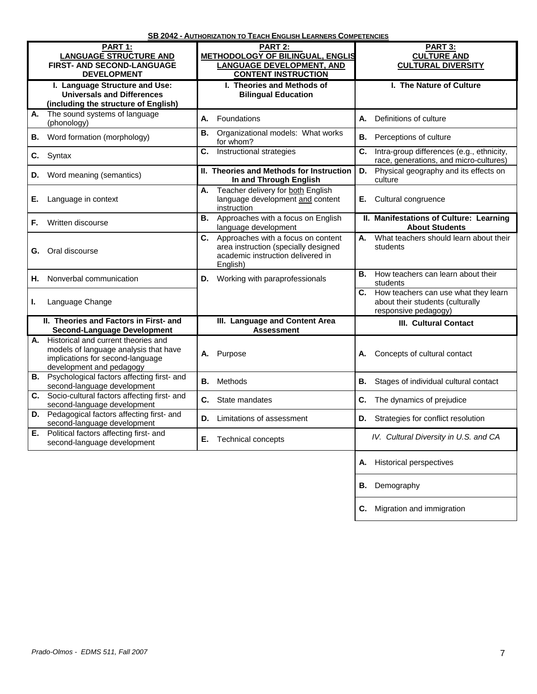| <u> 22.574</u><br><u>AVIIIVIVATIVIT VA</u><br><u> INSLISH LLANNLINS COMI L'ILINSILI</u> |                                                                                                                                                                            |           |                                                                                                                                                                                  |                                                                                                     |                                                                                        |  |
|-----------------------------------------------------------------------------------------|----------------------------------------------------------------------------------------------------------------------------------------------------------------------------|-----------|----------------------------------------------------------------------------------------------------------------------------------------------------------------------------------|-----------------------------------------------------------------------------------------------------|----------------------------------------------------------------------------------------|--|
|                                                                                         | PART 1:<br><b>LANGUAGE STRUCTURE AND</b><br><b>FIRST- AND SECOND-LANGUAGE</b><br><b>DEVELOPMENT</b><br>I. Language Structure and Use:<br><b>Universals and Differences</b> |           | PART 2:<br><b>METHODOLOGY OF BILINGUAL, ENGLIS</b><br><b>LANGUAGE DEVELOPMENT, AND</b><br><b>CONTENT INSTRUCTION</b><br>I. Theories and Methods of<br><b>Bilingual Education</b> |                                                                                                     | PART 3:<br><b>CULTURE AND</b><br><b>CULTURAL DIVERSITY</b><br>I. The Nature of Culture |  |
|                                                                                         | (including the structure of English)                                                                                                                                       |           |                                                                                                                                                                                  |                                                                                                     |                                                                                        |  |
| А.                                                                                      | The sound systems of language<br>(phonology)                                                                                                                               | А.        | Foundations                                                                                                                                                                      | А.                                                                                                  | Definitions of culture                                                                 |  |
| В.                                                                                      | Word formation (morphology)                                                                                                                                                | В.        | Organizational models: What works<br>for whom?                                                                                                                                   | В.                                                                                                  | Perceptions of culture                                                                 |  |
| C.                                                                                      | Syntax                                                                                                                                                                     | C.        | Instructional strategies                                                                                                                                                         | C.                                                                                                  | Intra-group differences (e.g., ethnicity,<br>race, generations, and micro-cultures)    |  |
| D.                                                                                      | Word meaning (semantics)                                                                                                                                                   |           | II. Theories and Methods for Instruction<br>In and Through English                                                                                                               | D.                                                                                                  | Physical geography and its effects on<br>culture                                       |  |
| Е.                                                                                      | Language in context                                                                                                                                                        | А.        | Teacher delivery for both English<br>language development and content<br>instruction                                                                                             | Е.                                                                                                  | Cultural congruence                                                                    |  |
| F.                                                                                      | Written discourse                                                                                                                                                          | В.        | Approaches with a focus on English<br>language development                                                                                                                       |                                                                                                     | II. Manifestations of Culture: Learning<br><b>About Students</b>                       |  |
|                                                                                         | <b>G.</b> Oral discourse                                                                                                                                                   |           | C. Approaches with a focus on content<br>area instruction (specially designed<br>academic instruction delivered in<br>English)                                                   | А.                                                                                                  | What teachers should learn about their<br>students                                     |  |
| Н.                                                                                      | Nonverbal communication                                                                                                                                                    | D.        | Working with paraprofessionals                                                                                                                                                   | В.                                                                                                  | How teachers can learn about their<br>students                                         |  |
| L                                                                                       | Language Change                                                                                                                                                            |           |                                                                                                                                                                                  | C. How teachers can use what they learn<br>about their students (culturally<br>responsive pedagogy) |                                                                                        |  |
|                                                                                         | II. Theories and Factors in First- and<br><b>Second-Language Development</b>                                                                                               |           | III. Language and Content Area<br><b>Assessment</b>                                                                                                                              |                                                                                                     | <b>III. Cultural Contact</b>                                                           |  |
| А.                                                                                      | Historical and current theories and<br>models of language analysis that have<br>implications for second-language<br>development and pedagogy                               | А.        | Purpose                                                                                                                                                                          | А.                                                                                                  | Concepts of cultural contact                                                           |  |
|                                                                                         | <b>B.</b> Psychological factors affecting first- and<br>second-language development                                                                                        | <b>B.</b> | Methods                                                                                                                                                                          | В.                                                                                                  | Stages of individual cultural contact                                                  |  |
|                                                                                         | C. Socio-cultural factors affecting first- and<br>second-language development                                                                                              | C.        | State mandates                                                                                                                                                                   | C.                                                                                                  | The dynamics of prejudice                                                              |  |
|                                                                                         | D. Pedagogical factors affecting first- and<br>second-language development                                                                                                 | D.        | Limitations of assessment                                                                                                                                                        | D.                                                                                                  | Strategies for conflict resolution                                                     |  |
| Е.                                                                                      | Political factors affecting first- and<br>second-language development                                                                                                      | Е.        | <b>Technical concepts</b>                                                                                                                                                        |                                                                                                     | IV. Cultural Diversity in U.S. and CA                                                  |  |
|                                                                                         |                                                                                                                                                                            |           |                                                                                                                                                                                  | А.                                                                                                  | <b>Historical perspectives</b>                                                         |  |
|                                                                                         |                                                                                                                                                                            |           |                                                                                                                                                                                  |                                                                                                     | <b>B.</b> Demography                                                                   |  |

**C.** Migration and immigration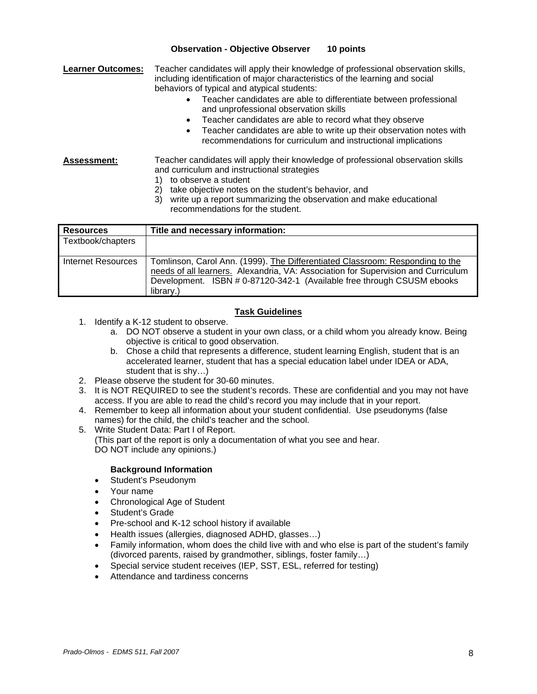## **Observation - Objective Observer 10 points**

**Learner Outcomes:** Teacher candidates will apply their knowledge of professional observation skills, including identification of major characteristics of the learning and social behaviors of typical and atypical students:

- Teacher candidates are able to differentiate between professional and unprofessional observation skills
- Teacher candidates are able to record what they observe
- Teacher candidates are able to write up their observation notes with recommendations for curriculum and instructional implications

#### **Assessment:** Teacher candidates will apply their knowledge of professional observation skills and curriculum and instructional strategies 1) to observe a student

- 
- 2) take objective notes on the student's behavior, and
- 3) write up a report summarizing the observation and make educational recommendations for the student.

| <b>Resources</b>   | Title and necessary information:                                                                                                                                                                                                                          |
|--------------------|-----------------------------------------------------------------------------------------------------------------------------------------------------------------------------------------------------------------------------------------------------------|
| Textbook/chapters  |                                                                                                                                                                                                                                                           |
| Internet Resources | Tomlinson, Carol Ann. (1999). The Differentiated Classroom: Responding to the<br>needs of all learners. Alexandria, VA: Association for Supervision and Curriculum<br>Development. ISBN # 0-87120-342-1 (Available free through CSUSM ebooks<br>library.) |

## **Task Guidelines**

- 1. Identify a K-12 student to observe.
	- a. DO NOT observe a student in your own class, or a child whom you already know. Being objective is critical to good observation.
	- b. Chose a child that represents a difference, student learning English, student that is an accelerated learner, student that has a special education label under IDEA or ADA, student that is shy…)
- 2. Please observe the student for 30-60 minutes.
- 3. It is NOT REQUIRED to see the student's records. These are confidential and you may not have access. If you are able to read the child's record you may include that in your report.
- 4. Remember to keep all information about your student confidential. Use pseudonyms (false names) for the child, the child's teacher and the school.
- 5. Write Student Data: Part I of Report. (This part of the report is only a documentation of what you see and hear. DO NOT include any opinions.)

#### **Background Information**

- Student's Pseudonym
- Your name
- Chronological Age of Student
- Student's Grade
- Pre-school and K-12 school history if available
- Health issues (allergies, diagnosed ADHD, glasses…)
- Family information, whom does the child live with and who else is part of the student's family (divorced parents, raised by grandmother, siblings, foster family…)
- Special service student receives (IEP, SST, ESL, referred for testing)
- Attendance and tardiness concerns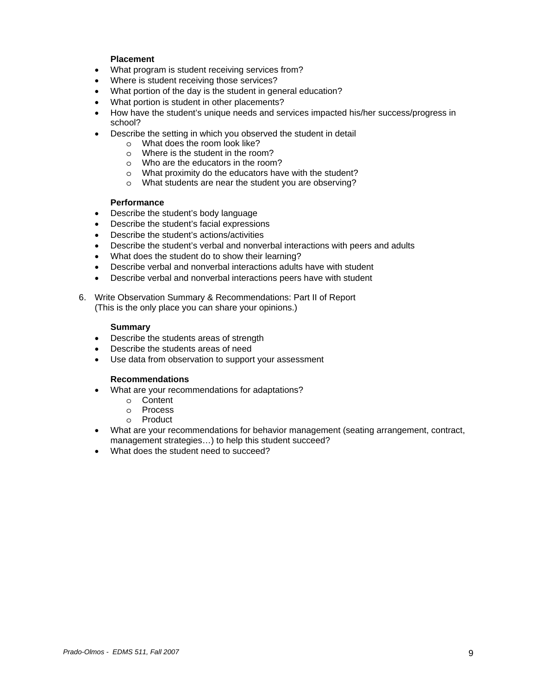## **Placement**

- What program is student receiving services from?
- Where is student receiving those services?
- What portion of the day is the student in general education?
- What portion is student in other placements?
- How have the student's unique needs and services impacted his/her success/progress in school?
- Describe the setting in which you observed the student in detail
	- o What does the room look like?
	- o Where is the student in the room?
	- o Who are the educators in the room?
	- o What proximity do the educators have with the student?
	- o What students are near the student you are observing?

#### **Performance**

- Describe the student's body language
- Describe the student's facial expressions
- Describe the student's actions/activities
- Describe the student's verbal and nonverbal interactions with peers and adults
- What does the student do to show their learning?
- Describe verbal and nonverbal interactions adults have with student
- Describe verbal and nonverbal interactions peers have with student
- 6. Write Observation Summary & Recommendations: Part II of Report (This is the only place you can share your opinions.)

#### **Summary**

- Describe the students areas of strength
- Describe the students areas of need
- Use data from observation to support your assessment

#### **Recommendations**

- What are your recommendations for adaptations?
	- o Content
	- o Process
	- o Product
- What are your recommendations for behavior management (seating arrangement, contract, management strategies…) to help this student succeed?
- What does the student need to succeed?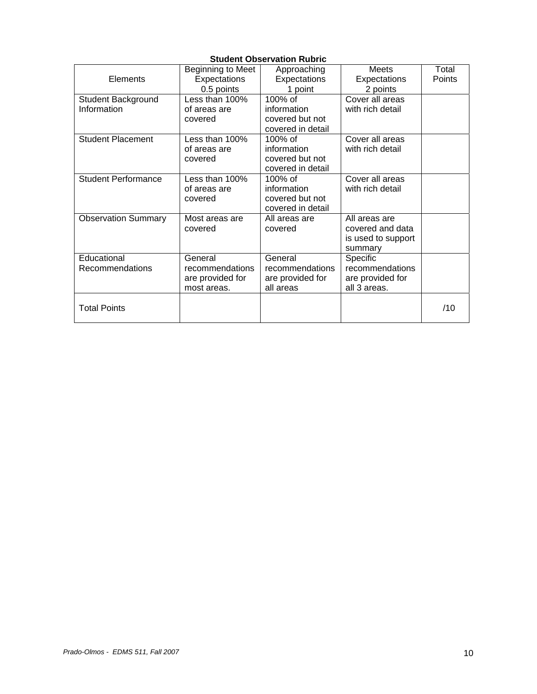| <b>Student Observation Rubric</b> |                   |                   |                    |        |  |  |
|-----------------------------------|-------------------|-------------------|--------------------|--------|--|--|
|                                   | Beginning to Meet | Approaching       | Meets              | Total  |  |  |
| Elements                          | Expectations      | Expectations      | Expectations       | Points |  |  |
|                                   | 0.5 points        | 1 point           | 2 points           |        |  |  |
| Student Background                | Less than 100%    | 100% of           | Cover all areas    |        |  |  |
| Information                       | of areas are      | information       | with rich detail   |        |  |  |
|                                   | covered           | covered but not   |                    |        |  |  |
|                                   |                   | covered in detail |                    |        |  |  |
| <b>Student Placement</b>          | Less than 100%    | $100\%$ of        | Cover all areas    |        |  |  |
|                                   | of areas are      | information       | with rich detail   |        |  |  |
|                                   | covered           | covered but not   |                    |        |  |  |
|                                   |                   | covered in detail |                    |        |  |  |
| <b>Student Performance</b>        | Less than 100%    | $100\%$ of        | Cover all areas    |        |  |  |
|                                   | of areas are      | information       | with rich detail   |        |  |  |
|                                   | covered           | covered but not   |                    |        |  |  |
|                                   |                   | covered in detail |                    |        |  |  |
| <b>Observation Summary</b>        | Most areas are    | All areas are     | All areas are      |        |  |  |
|                                   | covered           | covered           | covered and data   |        |  |  |
|                                   |                   |                   | is used to support |        |  |  |
|                                   |                   |                   | summary            |        |  |  |
| Educational                       | General           | General           | Specific           |        |  |  |
| Recommendations                   | recommendations   | recommendations   | recommendations    |        |  |  |
|                                   | are provided for  | are provided for  | are provided for   |        |  |  |
|                                   | most areas.       | all areas         | all 3 areas.       |        |  |  |
|                                   |                   |                   |                    |        |  |  |
| <b>Total Points</b>               |                   |                   |                    | /10    |  |  |
|                                   |                   |                   |                    |        |  |  |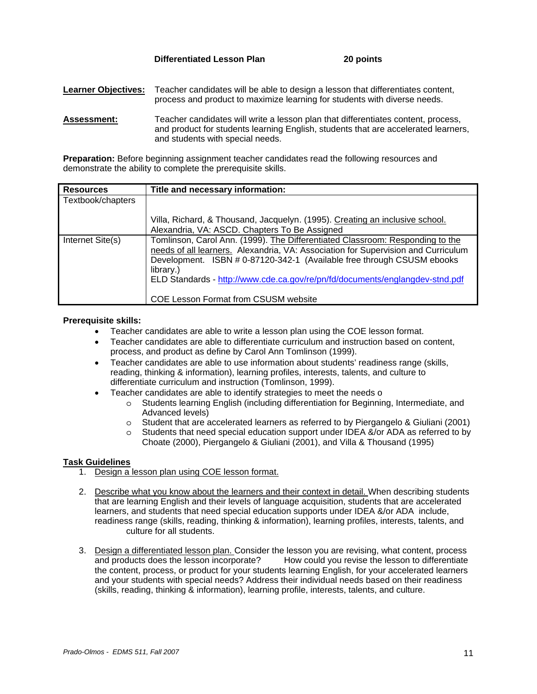**Differentiated Lesson Plan 20 points** 

**Learner Objectives:** Teacher candidates will be able to design a lesson that differentiates content, process and product to maximize learning for students with diverse needs.

**Assessment:** Teacher candidates will write a lesson plan that differentiates content, process, and product for students learning English, students that are accelerated learners, and students with special needs.

**Preparation:** Before beginning assignment teacher candidates read the following resources and demonstrate the ability to complete the prerequisite skills.

| <b>Resources</b>  | Title and necessary information:                                                                                                                                                                                                                                                                                                                                                         |
|-------------------|------------------------------------------------------------------------------------------------------------------------------------------------------------------------------------------------------------------------------------------------------------------------------------------------------------------------------------------------------------------------------------------|
| Textbook/chapters |                                                                                                                                                                                                                                                                                                                                                                                          |
|                   | Villa, Richard, & Thousand, Jacquelyn. (1995). Creating an inclusive school.<br>Alexandria, VA: ASCD. Chapters To Be Assigned                                                                                                                                                                                                                                                            |
| Internet Site(s)  | Tomlinson, Carol Ann. (1999). The Differentiated Classroom: Responding to the<br>needs of all learners. Alexandria, VA: Association for Supervision and Curriculum<br>Development. ISBN # 0-87120-342-1 (Available free through CSUSM ebooks<br>library.)<br>ELD Standards - http://www.cde.ca.gov/re/pn/fd/documents/englangdev-stnd.pdf<br><b>COE Lesson Format from CSUSM website</b> |

## **Prerequisite skills:**

- Teacher candidates are able to write a lesson plan using the COE lesson format.
- Teacher candidates are able to differentiate curriculum and instruction based on content, process, and product as define by Carol Ann Tomlinson (1999).
- Teacher candidates are able to use information about students' readiness range (skills, reading, thinking & information), learning profiles, interests, talents, and culture to differentiate curriculum and instruction (Tomlinson, 1999).
- Teacher candidates are able to identify strategies to meet the needs o
	- o Students learning English (including differentiation for Beginning, Intermediate, and Advanced levels)
	- o Student that are accelerated learners as referred to by Piergangelo & Giuliani (2001)
	- o Students that need special education support under IDEA &/or ADA as referred to by Choate (2000), Piergangelo & Giuliani (2001), and Villa & Thousand (1995)

## **Task Guidelines**

- 1. Design a lesson plan using COE lesson format.
- 2. Describe what you know about the learners and their context in detail. When describing students that are learning English and their levels of language acquisition, students that are accelerated learners, and students that need special education supports under IDEA &/or ADA include, readiness range (skills, reading, thinking & information), learning profiles, interests, talents, and culture for all students.
- 3. Design a differentiated lesson plan. Consider the lesson you are revising, what content, process and products does the lesson incorporate? How could you revise the lesson to differentiate the content, process, or product for your students learning English, for your accelerated learners and your students with special needs? Address their individual needs based on their readiness (skills, reading, thinking & information), learning profile, interests, talents, and culture.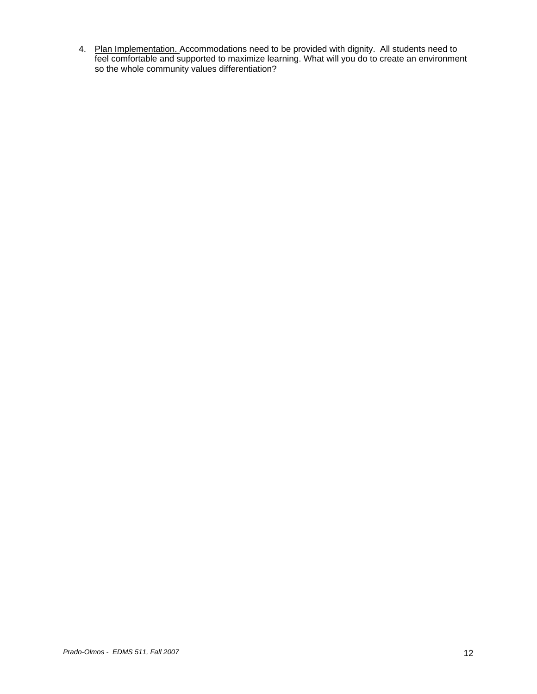4. Plan Implementation. Accommodations need to be provided with dignity. All students need to feel comfortable and supported to maximize learning. What will you do to create an environment so the whole community values differentiation?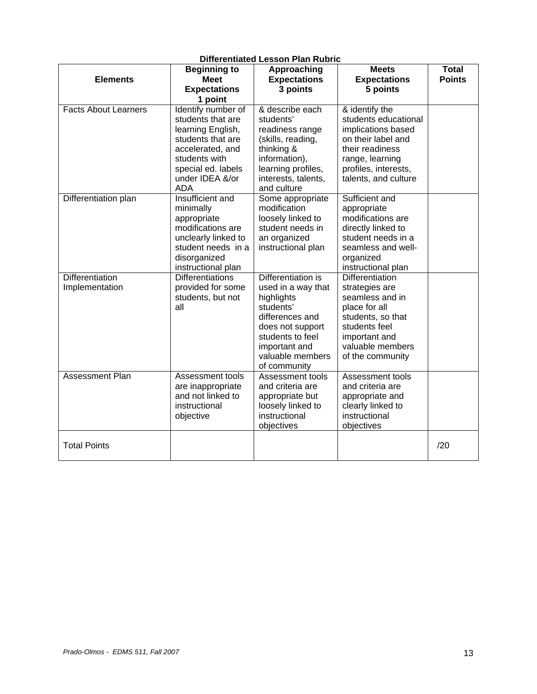| <b>Elements</b>                   | <b>Beginning to</b><br><b>Meet</b>                                                                                                                                            | Approaching<br><b>Expectations</b>                                                                                                                                                  | <b>Meets</b><br><b>Expectations</b>                                                                                                                                      | <b>Total</b><br><b>Points</b> |
|-----------------------------------|-------------------------------------------------------------------------------------------------------------------------------------------------------------------------------|-------------------------------------------------------------------------------------------------------------------------------------------------------------------------------------|--------------------------------------------------------------------------------------------------------------------------------------------------------------------------|-------------------------------|
|                                   | <b>Expectations</b><br>1 point                                                                                                                                                | 3 points                                                                                                                                                                            | 5 points                                                                                                                                                                 |                               |
| <b>Facts About Learners</b>       | Identify number of<br>students that are<br>learning English,<br>students that are<br>accelerated, and<br>students with<br>special ed. labels<br>under IDEA &/or<br><b>ADA</b> | & describe each<br>students'<br>readiness range<br>(skills, reading,<br>thinking &<br>information),<br>learning profiles,<br>interests, talents,<br>and culture                     | & identify the<br>students educational<br>implications based<br>on their label and<br>their readiness<br>range, learning<br>profiles, interests,<br>talents, and culture |                               |
| Differentiation plan              | Insufficient and<br>minimally<br>appropriate<br>modifications are<br>unclearly linked to<br>student needs in a<br>disorganized<br>instructional plan                          | Some appropriate<br>modification<br>loosely linked to<br>student needs in<br>an organized<br>instructional plan                                                                     | Sufficient and<br>appropriate<br>modifications are<br>directly linked to<br>student needs in a<br>seamless and well-<br>organized<br>instructional plan                  |                               |
| Differentiation<br>Implementation | <b>Differentiations</b><br>provided for some<br>students, but not<br>all                                                                                                      | Differentiation is<br>used in a way that<br>highlights<br>students'<br>differences and<br>does not support<br>students to feel<br>important and<br>valuable members<br>of community | Differentiation<br>strategies are<br>seamless and in<br>place for all<br>students, so that<br>students feel<br>important and<br>valuable members<br>of the community     |                               |
| Assessment Plan                   | Assessment tools<br>are inappropriate<br>and not linked to<br>instructional<br>objective                                                                                      | Assessment tools<br>and criteria are<br>appropriate but<br>loosely linked to<br>instructional<br>objectives                                                                         | Assessment tools<br>and criteria are<br>appropriate and<br>clearly linked to<br>instructional<br>objectives                                                              |                               |
| <b>Total Points</b>               |                                                                                                                                                                               |                                                                                                                                                                                     |                                                                                                                                                                          | /20                           |

## **Differentiated Lesson Plan Rubric**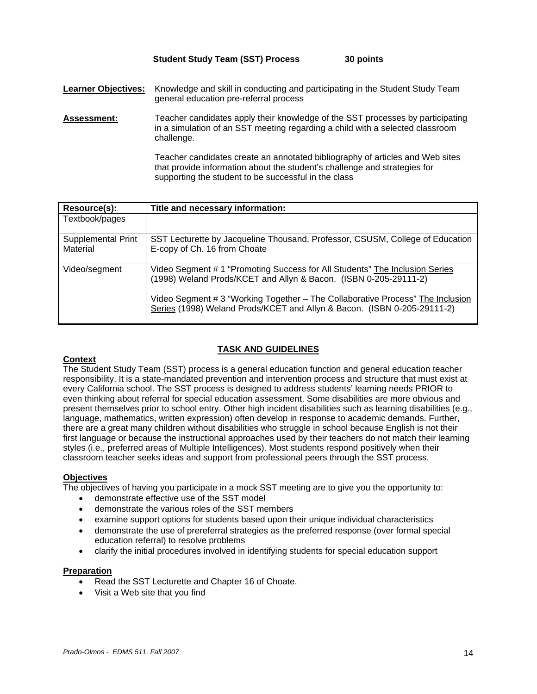#### **Student Study Team (SST) Process 30 points**

**Learner Objectives:** Knowledge and skill in conducting and participating in the Student Study Team general education pre-referral process

**Assessment:** Teacher candidates apply their knowledge of the SST processes by participating in a simulation of an SST meeting regarding a child with a selected classroom challenge.

> Teacher candidates create an annotated bibliography of articles and Web sites that provide information about the student's challenge and strategies for supporting the student to be successful in the class

| Resource(s):                   | Title and necessary information:                                                                                                                                                                                                  |
|--------------------------------|-----------------------------------------------------------------------------------------------------------------------------------------------------------------------------------------------------------------------------------|
| Textbook/pages                 |                                                                                                                                                                                                                                   |
| Supplemental Print<br>Material | SST Lecturette by Jacqueline Thousand, Professor, CSUSM, College of Education<br>E-copy of Ch. 16 from Choate                                                                                                                     |
| Video/segment                  | Video Segment # 1 "Promoting Success for All Students" The Inclusion Series<br>(1998) Weland Prods/KCET and Allyn & Bacon. (ISBN 0-205-29111-2)<br>Video Segment # 3 "Working Together - The Collaborative Process" The Inclusion |
|                                | Series (1998) Weland Prods/KCET and Allyn & Bacon. (ISBN 0-205-29111-2)                                                                                                                                                           |

## **TASK AND GUIDELINES**

## **Context**

The Student Study Team (SST) process is a general education function and general education teacher responsibility. It is a state-mandated prevention and intervention process and structure that must exist at every California school. The SST process is designed to address students' learning needs PRIOR to even thinking about referral for special education assessment. Some disabilities are more obvious and present themselves prior to school entry. Other high incident disabilities such as learning disabilities (e.g., language, mathematics, written expression) often develop in response to academic demands. Further, there are a great many children without disabilities who struggle in school because English is not their first language or because the instructional approaches used by their teachers do not match their learning styles (i.e., preferred areas of Multiple Intelligences). Most students respond positively when their classroom teacher seeks ideas and support from professional peers through the SST process.

#### **Objectives**

The objectives of having you participate in a mock SST meeting are to give you the opportunity to:

- demonstrate effective use of the SST model
- demonstrate the various roles of the SST members
- examine support options for students based upon their unique individual characteristics
- demonstrate the use of prereferral strategies as the preferred response (over formal special education referral) to resolve problems
- clarify the initial procedures involved in identifying students for special education support

#### **Preparation**

- Read the SST Lecturette and Chapter 16 of Choate.
- Visit a Web site that you find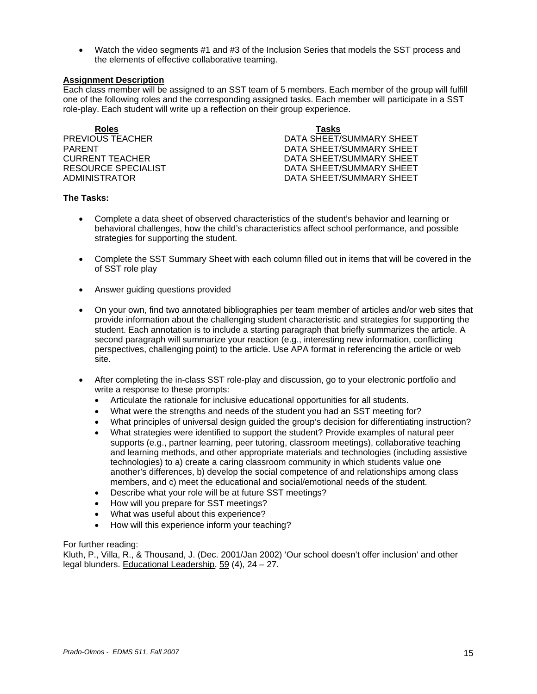• Watch the video segments #1 and #3 of the Inclusion Series that models the SST process and the elements of effective collaborative teaming.

#### **Assignment Description**

Each class member will be assigned to an SST team of 5 members. Each member of the group will fulfill one of the following roles and the corresponding assigned tasks. Each member will participate in a SST role-play. Each student will write up a reflection on their group experience.

| <b>Roles</b>        | Tasks                    |
|---------------------|--------------------------|
| PREVIOUS TEACHER    | DATA SHEET/SUMMARY SHEET |
| PARFNT              | DATA SHEET/SUMMARY SHEET |
| CURRENT TEACHER     | DATA SHEET/SUMMARY SHEET |
| RESOURCE SPECIALIST | DATA SHEET/SUMMARY SHEET |
| ADMINISTRATOR       | DATA SHEET/SUMMARY SHEET |

#### **The Tasks:**

- Complete a data sheet of observed characteristics of the student's behavior and learning or behavioral challenges, how the child's characteristics affect school performance, and possible strategies for supporting the student.
- Complete the SST Summary Sheet with each column filled out in items that will be covered in the of SST role play
- Answer guiding questions provided
- On your own, find two annotated bibliographies per team member of articles and/or web sites that provide information about the challenging student characteristic and strategies for supporting the student. Each annotation is to include a starting paragraph that briefly summarizes the article. A second paragraph will summarize your reaction (e.g., interesting new information, conflicting perspectives, challenging point) to the article. Use APA format in referencing the article or web site.
- After completing the in-class SST role-play and discussion, go to your electronic portfolio and write a response to these prompts:
	- Articulate the rationale for inclusive educational opportunities for all students.
	- What were the strengths and needs of the student you had an SST meeting for?
	- What principles of universal design guided the group's decision for differentiating instruction?
	- What strategies were identified to support the student? Provide examples of natural peer supports (e.g., partner learning, peer tutoring, classroom meetings), collaborative teaching and learning methods, and other appropriate materials and technologies (including assistive technologies) to a) create a caring classroom community in which students value one another's differences, b) develop the social competence of and relationships among class members, and c) meet the educational and social/emotional needs of the student.
	- Describe what your role will be at future SST meetings?
	- How will you prepare for SST meetings?
	- What was useful about this experience?
	- How will this experience inform your teaching?

#### For further reading:

Kluth, P., Villa, R., & Thousand, J. (Dec. 2001/Jan 2002) 'Our school doesn't offer inclusion' and other legal blunders. Educational Leadership, 59 (4), 24 – 27.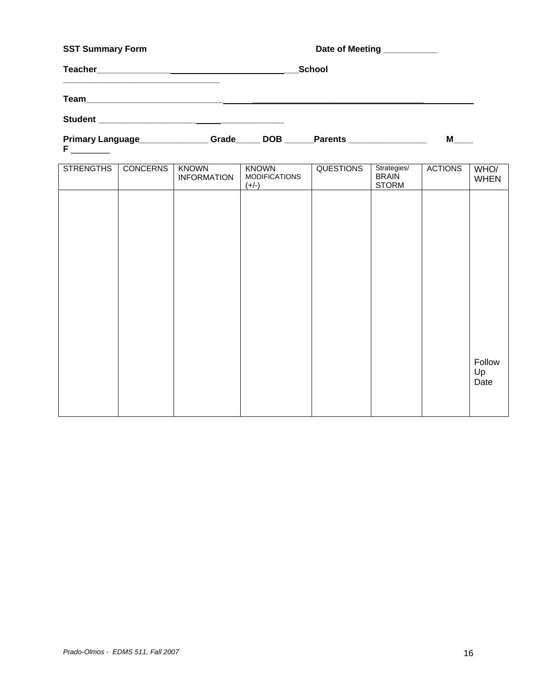| <b>SST Summary Form</b>                       |       |  | Date of Meeting __________ |   |  |
|-----------------------------------------------|-------|--|----------------------------|---|--|
|                                               |       |  | <b>School</b>              |   |  |
|                                               |       |  |                            |   |  |
|                                               |       |  |                            |   |  |
| Primary Language________________<br>Fig. 1999 | Grade |  | DOB Parents                | М |  |

| <b>STRENGTHS</b> | <b>CONCERNS</b> | <b>KNOWN</b><br><b>INFORMATION</b> | <b>KNOWN</b><br><b>MODIFICATIONS</b><br>$(+/-)$ | <b>QUESTIONS</b> | Strategies/<br><b>BRAIN</b><br><b>STORM</b> | <b>ACTIONS</b> | WHO/<br><b>WHEN</b>  |
|------------------|-----------------|------------------------------------|-------------------------------------------------|------------------|---------------------------------------------|----------------|----------------------|
|                  |                 |                                    |                                                 |                  |                                             |                |                      |
|                  |                 |                                    |                                                 |                  |                                             |                |                      |
|                  |                 |                                    |                                                 |                  |                                             |                |                      |
|                  |                 |                                    |                                                 |                  |                                             |                |                      |
|                  |                 |                                    |                                                 |                  |                                             |                |                      |
|                  |                 |                                    |                                                 |                  |                                             |                |                      |
|                  |                 |                                    |                                                 |                  |                                             |                | Follow<br>Up<br>Date |
|                  |                 |                                    |                                                 |                  |                                             |                |                      |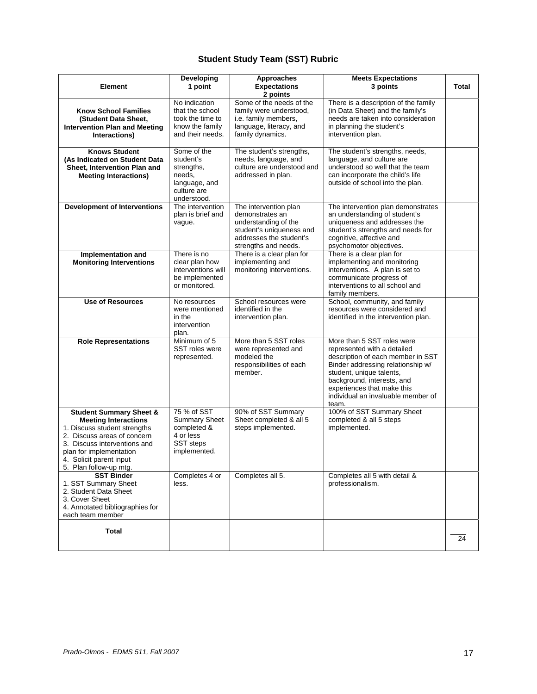# **Student Study Team (SST) Rubric**

|                                                                                                                                                                                                                                                  | Developing                                                                                          | Approaches                                                                                                                                      | <b>Meets Expectations</b>                                                                                                                                                                                                                                                  |       |
|--------------------------------------------------------------------------------------------------------------------------------------------------------------------------------------------------------------------------------------------------|-----------------------------------------------------------------------------------------------------|-------------------------------------------------------------------------------------------------------------------------------------------------|----------------------------------------------------------------------------------------------------------------------------------------------------------------------------------------------------------------------------------------------------------------------------|-------|
| <b>Element</b>                                                                                                                                                                                                                                   | 1 point                                                                                             | <b>Expectations</b><br>2 points                                                                                                                 | 3 points                                                                                                                                                                                                                                                                   | Total |
| <b>Know School Families</b><br>(Student Data Sheet,<br><b>Intervention Plan and Meeting</b><br>Interactions)                                                                                                                                     | No indication<br>that the school<br>took the time to<br>know the family<br>and their needs.         | Some of the needs of the<br>family were understood,<br>i.e. family members,<br>language, literacy, and<br>family dynamics.                      | There is a description of the family<br>(in Data Sheet) and the family's<br>needs are taken into consideration<br>in planning the student's<br>intervention plan.                                                                                                          |       |
| <b>Knows Student</b><br>(As Indicated on Student Data<br>Sheet, Intervention Plan and<br><b>Meeting Interactions)</b>                                                                                                                            | Some of the<br>student's<br>strengths,<br>needs.<br>language, and<br>culture are<br>understood.     | The student's strengths,<br>needs, language, and<br>culture are understood and<br>addressed in plan.                                            | The student's strengths, needs,<br>language, and culture are<br>understood so well that the team<br>can incorporate the child's life<br>outside of school into the plan.                                                                                                   |       |
| <b>Development of Interventions</b>                                                                                                                                                                                                              | The intervention<br>plan is brief and<br>vague.                                                     | The intervention plan<br>demonstrates an<br>understanding of the<br>student's uniqueness and<br>addresses the student's<br>strengths and needs. | The intervention plan demonstrates<br>an understanding of student's<br>uniqueness and addresses the<br>student's strengths and needs for<br>cognitive, affective and<br>psychomotor objectives.                                                                            |       |
| Implementation and<br><b>Monitoring Interventions</b>                                                                                                                                                                                            | There is no<br>clear plan how<br>interventions will<br>be implemented<br>or monitored.              | There is a clear plan for<br>implementing and<br>monitoring interventions.                                                                      | There is a clear plan for<br>implementing and monitoring<br>interventions. A plan is set to<br>communicate progress of<br>interventions to all school and<br>family members.                                                                                               |       |
| <b>Use of Resources</b>                                                                                                                                                                                                                          | No resources<br>were mentioned<br>in the<br>intervention<br>plan.                                   | School resources were<br>identified in the<br>intervention plan.                                                                                | School, community, and family<br>resources were considered and<br>identified in the intervention plan.                                                                                                                                                                     |       |
| <b>Role Representations</b>                                                                                                                                                                                                                      | Minimum of 5<br>SST roles were<br>represented.                                                      | More than 5 SST roles<br>were represented and<br>modeled the<br>responsibilities of each<br>member.                                             | More than 5 SST roles were<br>represented with a detailed<br>description of each member in SST<br>Binder addressing relationship w/<br>student, unique talents,<br>background, interests, and<br>experiences that make this<br>individual an invaluable member of<br>team. |       |
| <b>Student Summary Sheet &amp;</b><br><b>Meeting Interactions</b><br>1. Discuss student strengths<br>2. Discuss areas of concern<br>3. Discuss interventions and<br>plan for implementation<br>4. Solicit parent input<br>5. Plan follow-up mtg. | 75 % of SST<br><b>Summary Sheet</b><br>completed &<br>4 or less<br><b>SST</b> steps<br>implemented. | 90% of SST Summary<br>Sheet completed & all 5<br>steps implemented.                                                                             | 100% of SST Summary Sheet<br>completed & all 5 steps<br>implemented.                                                                                                                                                                                                       |       |
| <b>SST Binder</b><br>1. SST Summary Sheet<br>2. Student Data Sheet<br>3. Cover Sheet<br>4. Annotated bibliographies for<br>each team member                                                                                                      | Completes 4 or<br>less.                                                                             | Completes all 5.                                                                                                                                | Completes all 5 with detail &<br>professionalism.                                                                                                                                                                                                                          |       |
| <b>Total</b>                                                                                                                                                                                                                                     |                                                                                                     |                                                                                                                                                 |                                                                                                                                                                                                                                                                            | 24    |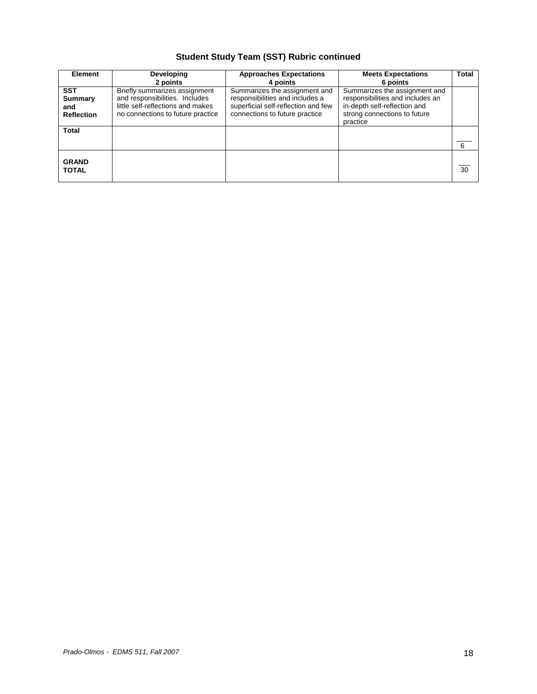# **Student Study Team (SST) Rubric continued**

| <b>Element</b>                                    | Developing<br>2 points                                                                                                                    | <b>Approaches Expectations</b><br>4 points                                                                                                | <b>Meets Expectations</b><br>6 points                                                                                                         | Total |
|---------------------------------------------------|-------------------------------------------------------------------------------------------------------------------------------------------|-------------------------------------------------------------------------------------------------------------------------------------------|-----------------------------------------------------------------------------------------------------------------------------------------------|-------|
| <b>SST</b><br>Summary<br>and<br><b>Reflection</b> | Briefly summarizes assignment<br>and responsibilities. Includes<br>little self-reflections and makes<br>no connections to future practice | Summarizes the assignment and<br>responsibilities and includes a<br>superficial self-reflection and few<br>connections to future practice | Summarizes the assignment and<br>responsibilities and includes an<br>in-depth self-reflection and<br>strong connections to future<br>practice |       |
| <b>Total</b>                                      |                                                                                                                                           |                                                                                                                                           |                                                                                                                                               | 6     |
| <b>GRAND</b><br><b>TOTAL</b>                      |                                                                                                                                           |                                                                                                                                           |                                                                                                                                               | 30    |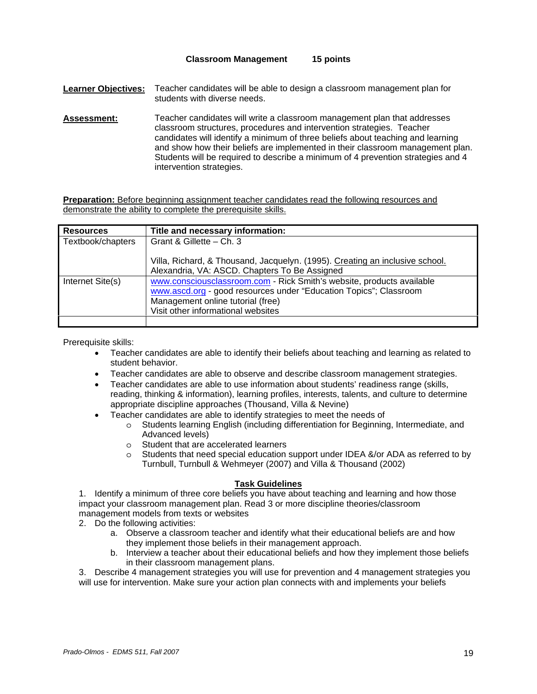#### **Classroom Management 15 points**

**Learner Objectives:** Teacher candidates will be able to design a classroom management plan for students with diverse needs.

**Assessment:** Teacher candidates will write a classroom management plan that addresses classroom structures, procedures and intervention strategies. Teacher candidates will identify a minimum of three beliefs about teaching and learning and show how their beliefs are implemented in their classroom management plan. Students will be required to describe a minimum of 4 prevention strategies and 4 intervention strategies.

**Preparation:** Before beginning assignment teacher candidates read the following resources and demonstrate the ability to complete the prerequisite skills.

| <b>Resources</b>  | Title and necessary information:                                                                                                                                                                                      |
|-------------------|-----------------------------------------------------------------------------------------------------------------------------------------------------------------------------------------------------------------------|
| Textbook/chapters | Grant & Gillette - Ch. 3                                                                                                                                                                                              |
|                   | Villa, Richard, & Thousand, Jacquelyn. (1995). Creating an inclusive school.<br>Alexandria, VA: ASCD. Chapters To Be Assigned                                                                                         |
| Internet Site(s)  | www.consciousclassroom.com - Rick Smith's website, products available<br>www.ascd.org - good resources under "Education Topics"; Classroom<br>Management online tutorial (free)<br>Visit other informational websites |
|                   |                                                                                                                                                                                                                       |

Prerequisite skills:

- Teacher candidates are able to identify their beliefs about teaching and learning as related to student behavior.
- Teacher candidates are able to observe and describe classroom management strategies.
- Teacher candidates are able to use information about students' readiness range (skills, reading, thinking & information), learning profiles, interests, talents, and culture to determine appropriate discipline approaches (Thousand, Villa & Nevine)
- Teacher candidates are able to identify strategies to meet the needs of
	- o Students learning English (including differentiation for Beginning, Intermediate, and Advanced levels)
	- o Student that are accelerated learners
	- o Students that need special education support under IDEA &/or ADA as referred to by Turnbull, Turnbull & Wehmeyer (2007) and Villa & Thousand (2002)

## **Task Guidelines**

1. Identify a minimum of three core beliefs you have about teaching and learning and how those impact your classroom management plan. Read 3 or more discipline theories/classroom management models from texts or websites

2. Do the following activities:

- a. Observe a classroom teacher and identify what their educational beliefs are and how they implement those beliefs in their management approach.
- b. Interview a teacher about their educational beliefs and how they implement those beliefs in their classroom management plans.

3. Describe 4 management strategies you will use for prevention and 4 management strategies you will use for intervention. Make sure your action plan connects with and implements your beliefs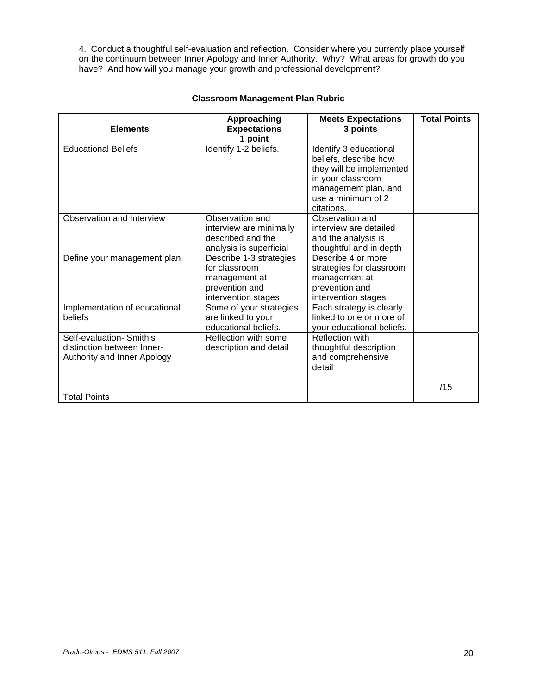4. Conduct a thoughtful self-evaluation and reflection. Consider where you currently place yourself on the continuum between Inner Apology and Inner Authority. Why? What areas for growth do you have? And how will you manage your growth and professional development?

| <b>Elements</b>                                                                       | Approaching<br><b>Expectations</b>                                                                 | <b>Meets Expectations</b><br>3 points                                                                                                                        | <b>Total Points</b> |
|---------------------------------------------------------------------------------------|----------------------------------------------------------------------------------------------------|--------------------------------------------------------------------------------------------------------------------------------------------------------------|---------------------|
| <b>Educational Beliefs</b>                                                            | 1 point<br>Identify 1-2 beliefs.                                                                   | Identify 3 educational<br>beliefs, describe how<br>they will be implemented<br>in your classroom<br>management plan, and<br>use a minimum of 2<br>citations. |                     |
| Observation and Interview                                                             | Observation and<br>interview are minimally<br>described and the<br>analysis is superficial         | Observation and<br>interview are detailed<br>and the analysis is<br>thoughtful and in depth                                                                  |                     |
| Define your management plan                                                           | Describe 1-3 strategies<br>for classroom<br>management at<br>prevention and<br>intervention stages | Describe 4 or more<br>strategies for classroom<br>management at<br>prevention and<br>intervention stages                                                     |                     |
| Implementation of educational<br>beliefs                                              | Some of your strategies<br>are linked to your<br>educational beliefs.                              | Each strategy is clearly<br>linked to one or more of<br>your educational beliefs.                                                                            |                     |
| Self-evaluation- Smith's<br>distinction between Inner-<br>Authority and Inner Apology | Reflection with some<br>description and detail                                                     | <b>Reflection with</b><br>thoughtful description<br>and comprehensive<br>detail                                                                              |                     |
| <b>Total Points</b>                                                                   |                                                                                                    |                                                                                                                                                              | /15                 |

## **Classroom Management Plan Rubric**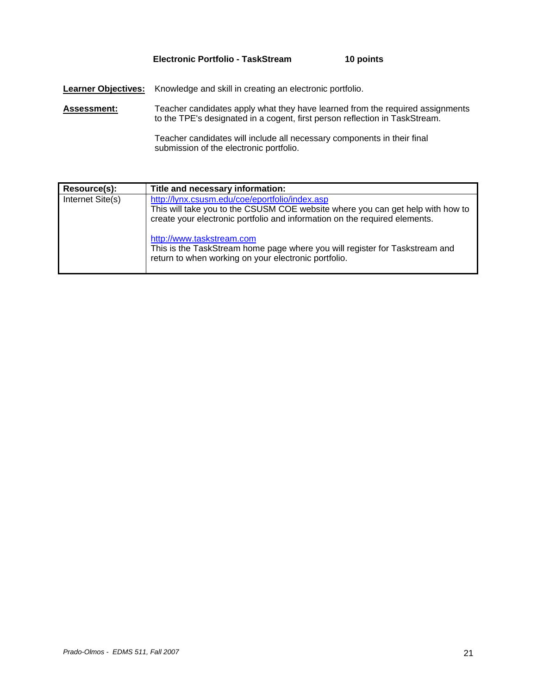## **Electronic Portfolio - TaskStream 10 points**

**Learner Objectives:** Knowledge and skill in creating an electronic portfolio.

**Assessment:** Teacher candidates apply what they have learned from the required assignments to the TPE's designated in a cogent, first person reflection in TaskStream.

> Teacher candidates will include all necessary components in their final submission of the electronic portfolio.

| Resource(s):     | Title and necessary information:                                                                                                                                                                               |
|------------------|----------------------------------------------------------------------------------------------------------------------------------------------------------------------------------------------------------------|
| Internet Site(s) | http://lynx.csusm.edu/coe/eportfolio/index.asp<br>This will take you to the CSUSM COE website where you can get help with how to<br>create your electronic portfolio and information on the required elements. |
|                  | http://www.taskstream.com<br>This is the TaskStream home page where you will register for Taskstream and<br>return to when working on your electronic portfolio.                                               |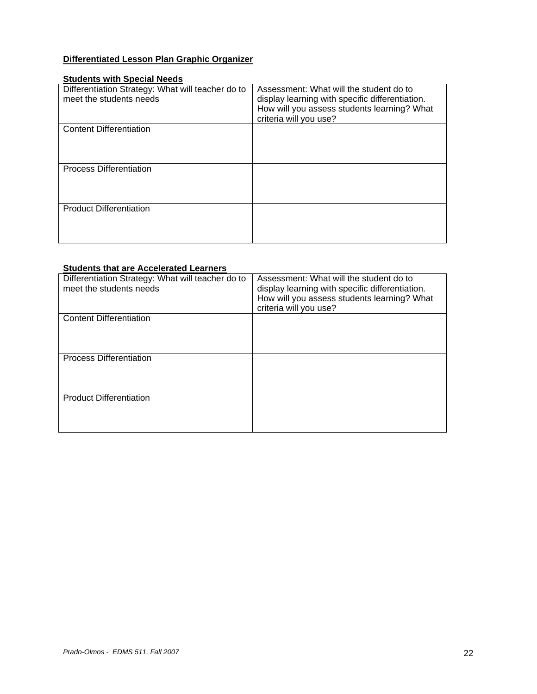# **Differentiated Lesson Plan Graphic Organizer**

## **Students with Special Needs**

| Differentiation Strategy: What will teacher do to<br>meet the students needs | Assessment: What will the student do to<br>display learning with specific differentiation.<br>How will you assess students learning? What<br>criteria will you use? |
|------------------------------------------------------------------------------|---------------------------------------------------------------------------------------------------------------------------------------------------------------------|
| <b>Content Differentiation</b>                                               |                                                                                                                                                                     |
| <b>Process Differentiation</b>                                               |                                                                                                                                                                     |
| <b>Product Differentiation</b>                                               |                                                                                                                                                                     |

## **Students that are Accelerated Learners**

| Differentiation Strategy: What will teacher do to<br>meet the students needs | Assessment: What will the student do to<br>display learning with specific differentiation.<br>How will you assess students learning? What<br>criteria will you use? |
|------------------------------------------------------------------------------|---------------------------------------------------------------------------------------------------------------------------------------------------------------------|
| <b>Content Differentiation</b>                                               |                                                                                                                                                                     |
| <b>Process Differentiation</b>                                               |                                                                                                                                                                     |
| <b>Product Differentiation</b>                                               |                                                                                                                                                                     |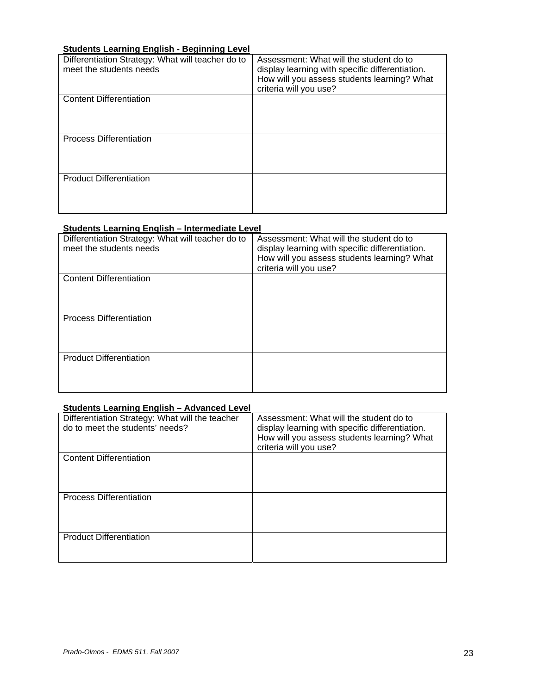## **Students Learning English - Beginning Level**

| Differentiation Strategy: What will teacher do to<br>meet the students needs | Assessment: What will the student do to<br>display learning with specific differentiation.<br>How will you assess students learning? What<br>criteria will you use? |
|------------------------------------------------------------------------------|---------------------------------------------------------------------------------------------------------------------------------------------------------------------|
| <b>Content Differentiation</b>                                               |                                                                                                                                                                     |
| <b>Process Differentiation</b>                                               |                                                                                                                                                                     |
| <b>Product Differentiation</b>                                               |                                                                                                                                                                     |

## **Students Learning English – Intermediate Level**

| Differentiation Strategy: What will teacher do to<br>meet the students needs | Assessment: What will the student do to<br>display learning with specific differentiation.<br>How will you assess students learning? What<br>criteria will you use? |
|------------------------------------------------------------------------------|---------------------------------------------------------------------------------------------------------------------------------------------------------------------|
| <b>Content Differentiation</b>                                               |                                                                                                                                                                     |
| <b>Process Differentiation</b>                                               |                                                                                                                                                                     |
| <b>Product Differentiation</b>                                               |                                                                                                                                                                     |

## **Students Learning English – Advanced Level**

| Differentiation Strategy: What will the teacher<br>do to meet the students' needs? | Assessment: What will the student do to<br>display learning with specific differentiation.<br>How will you assess students learning? What<br>criteria will you use? |
|------------------------------------------------------------------------------------|---------------------------------------------------------------------------------------------------------------------------------------------------------------------|
| <b>Content Differentiation</b>                                                     |                                                                                                                                                                     |
| <b>Process Differentiation</b>                                                     |                                                                                                                                                                     |
| <b>Product Differentiation</b>                                                     |                                                                                                                                                                     |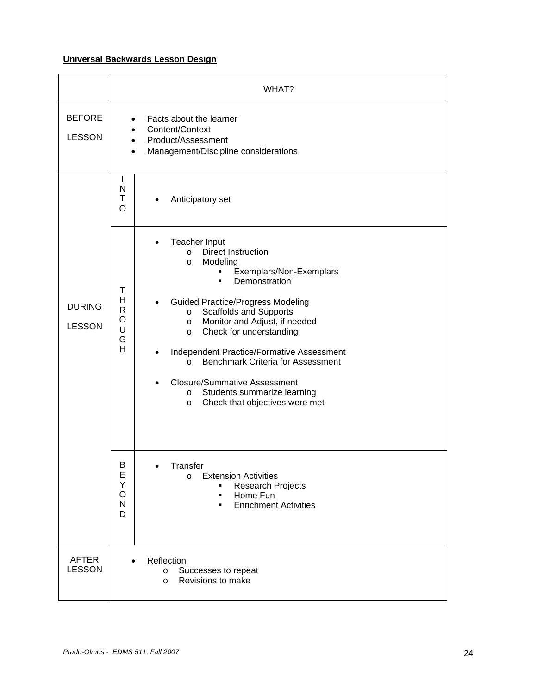# **Universal Backwards Lesson Design**

|                                |                                                  | WHAT?                                                                                                                                                                                                                                                                                                                                                                                                                                                                                                                                                       |
|--------------------------------|--------------------------------------------------|-------------------------------------------------------------------------------------------------------------------------------------------------------------------------------------------------------------------------------------------------------------------------------------------------------------------------------------------------------------------------------------------------------------------------------------------------------------------------------------------------------------------------------------------------------------|
| <b>BEFORE</b><br><b>LESSON</b> | $\bullet$<br>$\bullet$<br>$\bullet$<br>$\bullet$ | Facts about the learner<br>Content/Context<br>Product/Assessment<br>Management/Discipline considerations                                                                                                                                                                                                                                                                                                                                                                                                                                                    |
|                                | L<br>N<br>T<br>$\circ$                           | Anticipatory set                                                                                                                                                                                                                                                                                                                                                                                                                                                                                                                                            |
| <b>DURING</b><br><b>LESSON</b> | T<br>H<br>$\mathsf{R}$<br>$\circ$<br>U<br>G<br>H | Teacher Input<br><b>Direct Instruction</b><br>$\circ$<br>Modeling<br>$\circ$<br>Exemplars/Non-Exemplars<br>٠<br>Demonstration<br>$\blacksquare$<br><b>Guided Practice/Progress Modeling</b><br><b>Scaffolds and Supports</b><br>$\circ$<br>Monitor and Adjust, if needed<br>$\circ$<br>Check for understanding<br>$\circ$<br>Independent Practice/Formative Assessment<br><b>Benchmark Criteria for Assessment</b><br>$\circ$<br><b>Closure/Summative Assessment</b><br>Students summarize learning<br>$\circ$<br>Check that objectives were met<br>$\circ$ |
|                                | В<br>E<br>Υ<br>$\circ$<br>N<br>D                 | Transfer<br><b>Extension Activities</b><br>$\circ$<br><b>Research Projects</b><br>Home Fun<br>٠<br><b>Enrichment Activities</b><br>$\blacksquare$                                                                                                                                                                                                                                                                                                                                                                                                           |
| <b>AFTER</b><br><b>LESSON</b>  |                                                  | Reflection<br>Successes to repeat<br>O<br>Revisions to make<br>$\circ$                                                                                                                                                                                                                                                                                                                                                                                                                                                                                      |